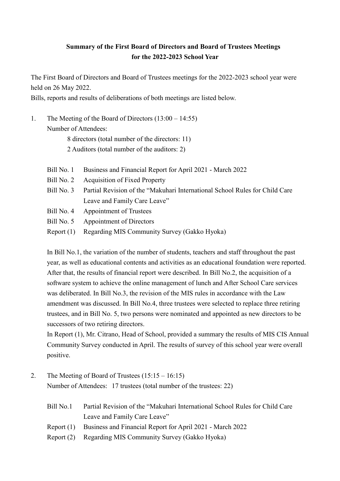## **Summary of the First Board of Directors and Board of Trustees Meetings for the 2022-2023 School Year**

The First Board of Directors and Board of Trustees meetings for the 2022-2023 school year were held on 26 May 2022.

Bills, reports and results of deliberations of both meetings are listed below.

1. The Meeting of the Board of Directors (13:00 – 14:55) Number of Attendees:

> 8 directors (total number of the directors: 11) 2 Auditors (total number of the auditors: 2)

- Bill No. 1 Business and Financial Report for April 2021 March 2022 Bill No. 2 Acquisition of Fixed Property Bill No. 3 Partial Revision of the "Makuhari International School Rules for Child Care Leave and Family Care Leave" Bill No. 4 Appointment of Trustees
- Bill No. 5 Appointment of Directors
- Report (1) Regarding MIS Community Survey (Gakko Hyoka)

In Bill No.1, the variation of the number of students, teachers and staff throughout the past year, as well as educational contents and activities as an educational foundation were reported. After that, the results of financial report were described. In Bill No.2, the acquisition of a software system to achieve the online management of lunch and After School Care services was deliberated. In Bill No.3, the revision of the MIS rules in accordance with the Law amendment was discussed. In Bill No.4, three trustees were selected to replace three retiring trustees, and in Bill No. 5, two persons were nominated and appointed as new directors to be successors of two retiring directors.

In Report (1), Mr. Citrano, Head of School, provided a summary the results of MIS CIS Annual Community Survey conducted in April. The results of survey of this school year were overall positive.

- 2. The Meeting of Board of Trustees (15:15 16:15) Number of Attendees: 17 trustees (total number of the trustees: 22)
	- Bill No.1 Partial Revision of the "Makuhari International School Rules for Child Care Leave and Family Care Leave"
	- Report (1) Business and Financial Report for April 2021 March 2022
	- Report (2) Regarding MIS Community Survey (Gakko Hyoka)